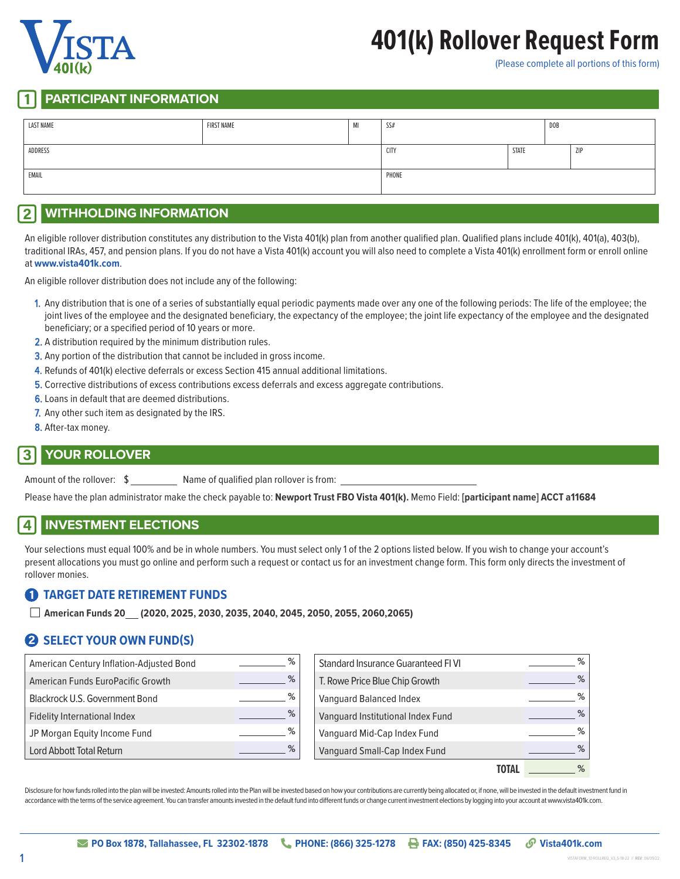

# **401(k) Rollover Request Form**

(Please complete all portions of this form)

#### **PARTICIPANT INFORMATION**

| <b>LAST NAME</b> | <b>FIRST NAME</b> | MI   | <b>DOB</b><br>SS# |     |  |  |
|------------------|-------------------|------|-------------------|-----|--|--|
| ADDRESS          |                   | CITY | STATE             | ZIP |  |  |
| EMAIL            |                   |      | PHONE             |     |  |  |

### 2 **WITHHOLDING INFORMATION**

An eligible rollover distribution constitutes any distribution to the Vista 401(k) plan from another qualified plan. Qualified plans include 401(k), 401(a), 403(b), traditional IRAs, 457, and pension plans. If you do not have a Vista 401(k) account you will also need to complete a Vista 401(k) enrollment form or enroll online at **www.vista401k.com**.

An eligible rollover distribution does not include any of the following:

- 1. Any distribution that is one of a series of substantially equal periodic payments made over any one of the following periods: The life of the employee; the joint lives of the employee and the designated beneficiary, the expectancy of the employee; the joint life expectancy of the employee and the designated beneficiary; or a specified period of 10 years or more.
- 2. A distribution required by the minimum distribution rules.
- **3.** Any portion of the distribution that cannot be included in gross income.
- 4. Refunds of 401(k) elective deferrals or excess Section 415 annual additional limitations.
- 5. Corrective distributions of excess contributions excess deferrals and excess aggregate contributions.
- 6. Loans in default that are deemed distributions.
- 7. Any other such item as designated by the IRS.
- 8. After-tax money.

#### 3 **YOUR ROLLOVER**

Amount of the rollover:  $\sinh(1 + \sinh(1))$  Name of qualified plan rollover is from:

Please have the plan administrator make the check payable to: **Newport Trust FBO Vista 401(k).** Memo Field: **[participant name] ACCT a11684**

#### 4 **INVESTMENT ELECTIONS**

Your selections must equal 100% and be in whole numbers. You must select only 1 of the 2 options listed below. If you wish to change your account's present allocations you must go online and perform such a request or contact us for an investment change form. This form only directs the investment of rollover monies.

#### 1 **TARGET DATE RETIREMENT FUNDS**

■ **American Funds 20 (2020, 2025, 2030, 2035, 2040, 2045, 2050, 2055, 2060,2065)**

## 2 **SELECT YOUR OWN FUND(S)**

| American Century Inflation-Adjusted Bond | % | Standard Insurance Guaranteed FIVI | % |
|------------------------------------------|---|------------------------------------|---|
| American Funds EuroPacific Growth        | % | T. Rowe Price Blue Chip Growth     | % |
| Blackrock U.S. Government Bond           | % | Vanguard Balanced Index            | % |
| Fidelity International Index             | % | Vanguard Institutional Index Fund  | % |
| JP Morgan Equity Income Fund             | % | Vanguard Mid-Cap Index Fund        | % |
| Lord Abbott Total Return                 | % | Vanguard Small-Cap Index Fund      | % |
|                                          |   | <b>TOTAL</b>                       | % |

Disclosure for how funds rolled into the plan will be invested: Amounts rolled into the Plan will be invested based on how your contributions are currently being allocated or, if none, will be invested in the default inves accordance with the terms of the service agreement. You can transfer amounts invested in the default fund into different funds or change current investment elections by logging into your account at www.vista401k.com.